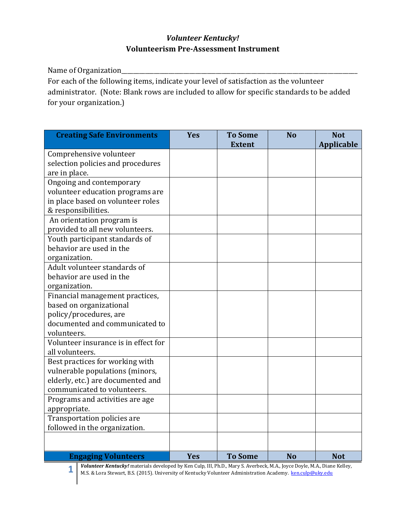## *Volunteer Kentucky!*  **Volunteerism Pre-Assessment Instrument**

Name of Organization\_\_\_\_\_\_\_\_\_\_\_\_\_\_\_\_\_\_\_\_\_\_\_\_\_\_\_\_\_\_\_\_\_\_\_\_\_\_\_\_\_\_\_\_\_\_\_\_\_\_\_\_\_\_\_\_\_\_\_\_\_\_\_\_\_\_\_\_\_\_\_\_\_\_\_\_\_\_\_\_

For each of the following items, indicate your level of satisfaction as the volunteer administrator. (Note: Blank rows are included to allow for specific standards to be added for your organization.)

| <b>Creating Safe Environments</b>                                    | <b>Yes</b> | <b>To Some</b><br><b>Extent</b> | <b>No</b> | <b>Not</b><br><b>Applicable</b> |
|----------------------------------------------------------------------|------------|---------------------------------|-----------|---------------------------------|
| Comprehensive volunteer                                              |            |                                 |           |                                 |
| selection policies and procedures                                    |            |                                 |           |                                 |
| are in place.                                                        |            |                                 |           |                                 |
| Ongoing and contemporary                                             |            |                                 |           |                                 |
| volunteer education programs are                                     |            |                                 |           |                                 |
| in place based on volunteer roles                                    |            |                                 |           |                                 |
| & responsibilities.                                                  |            |                                 |           |                                 |
| An orientation program is                                            |            |                                 |           |                                 |
| provided to all new volunteers.                                      |            |                                 |           |                                 |
| Youth participant standards of                                       |            |                                 |           |                                 |
| behavior are used in the                                             |            |                                 |           |                                 |
| organization.                                                        |            |                                 |           |                                 |
| Adult volunteer standards of                                         |            |                                 |           |                                 |
| behavior are used in the                                             |            |                                 |           |                                 |
| organization.                                                        |            |                                 |           |                                 |
| Financial management practices,                                      |            |                                 |           |                                 |
| based on organizational                                              |            |                                 |           |                                 |
| policy/procedures, are                                               |            |                                 |           |                                 |
| documented and communicated to                                       |            |                                 |           |                                 |
| volunteers.                                                          |            |                                 |           |                                 |
| Volunteer insurance is in effect for                                 |            |                                 |           |                                 |
| all volunteers.                                                      |            |                                 |           |                                 |
| Best practices for working with                                      |            |                                 |           |                                 |
| vulnerable populations (minors,<br>elderly, etc.) are documented and |            |                                 |           |                                 |
| communicated to volunteers.                                          |            |                                 |           |                                 |
|                                                                      |            |                                 |           |                                 |
| Programs and activities are age                                      |            |                                 |           |                                 |
| appropriate.<br>Transportation policies are                          |            |                                 |           |                                 |
| followed in the organization.                                        |            |                                 |           |                                 |
|                                                                      |            |                                 |           |                                 |
|                                                                      |            |                                 |           |                                 |
| <b>Engaging Volunteers</b>                                           | <b>Yes</b> | <b>To Some</b>                  | <b>No</b> | <b>Not</b>                      |

**1 Volunteer Kentucky!** materials developed by Ken Culp, III, Ph.D., Mary S. Averbeck, M.A., Joyce Doyle, M.A., Diane Kelley, M.S. & Lora Stowart, B.S. (2015). University of Kentucky Volunteer Administration Academy, ken M.S. & Lora Stewart, B.S. (2015). University of Kentucky Volunteer Administration Academy. [ken.culp@uky.edu](mailto:ken.culp@uky.edu)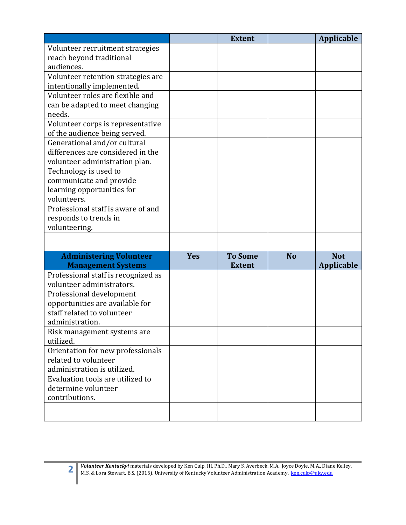|                                     |            | <b>Extent</b>  |           | <b>Applicable</b> |
|-------------------------------------|------------|----------------|-----------|-------------------|
| Volunteer recruitment strategies    |            |                |           |                   |
| reach beyond traditional            |            |                |           |                   |
| audiences.                          |            |                |           |                   |
| Volunteer retention strategies are  |            |                |           |                   |
| intentionally implemented.          |            |                |           |                   |
| Volunteer roles are flexible and    |            |                |           |                   |
| can be adapted to meet changing     |            |                |           |                   |
| needs.                              |            |                |           |                   |
| Volunteer corps is representative   |            |                |           |                   |
| of the audience being served.       |            |                |           |                   |
| Generational and/or cultural        |            |                |           |                   |
| differences are considered in the   |            |                |           |                   |
| volunteer administration plan.      |            |                |           |                   |
| Technology is used to               |            |                |           |                   |
| communicate and provide             |            |                |           |                   |
| learning opportunities for          |            |                |           |                   |
| volunteers.                         |            |                |           |                   |
| Professional staff is aware of and  |            |                |           |                   |
| responds to trends in               |            |                |           |                   |
| volunteering.                       |            |                |           |                   |
|                                     |            |                |           |                   |
| <b>Administering Volunteer</b>      | <b>Yes</b> | <b>To Some</b> | <b>No</b> | <b>Not</b>        |
| <b>Management Systems</b>           |            | <b>Extent</b>  |           | <b>Applicable</b> |
| Professional staff is recognized as |            |                |           |                   |
| volunteer administrators.           |            |                |           |                   |
| Professional development            |            |                |           |                   |
| opportunities are available for     |            |                |           |                   |
| staff related to volunteer          |            |                |           |                   |
| administration.                     |            |                |           |                   |
| Risk management systems are         |            |                |           |                   |
| utilized.                           |            |                |           |                   |
| Orientation for new professionals   |            |                |           |                   |
| related to volunteer                |            |                |           |                   |
| administration is utilized.         |            |                |           |                   |
| Evaluation tools are utilized to    |            |                |           |                   |
| determine volunteer                 |            |                |           |                   |
| contributions.                      |            |                |           |                   |
|                                     |            |                |           |                   |
|                                     |            |                |           |                   |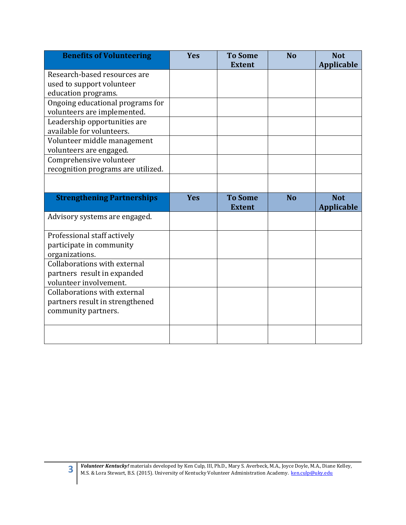| <b>Yes</b> | <b>To Some</b> | <b>No</b>     | <b>Not</b><br><b>Applicable</b> |
|------------|----------------|---------------|---------------------------------|
|            |                |               |                                 |
|            |                |               |                                 |
|            |                |               |                                 |
|            |                |               |                                 |
|            |                |               |                                 |
|            |                |               |                                 |
|            |                |               |                                 |
|            |                |               |                                 |
|            |                |               |                                 |
|            |                |               |                                 |
|            |                |               |                                 |
|            |                |               |                                 |
| <b>Yes</b> | <b>To Some</b> | <b>No</b>     | <b>Not</b>                      |
|            | <b>Extent</b>  |               | <b>Applicable</b>               |
|            |                |               |                                 |
|            |                |               |                                 |
|            |                |               |                                 |
|            |                |               |                                 |
|            |                |               |                                 |
|            |                |               |                                 |
|            |                |               |                                 |
|            |                |               |                                 |
|            |                |               |                                 |
|            |                |               |                                 |
|            |                |               |                                 |
|            |                | <b>Extent</b> |                                 |